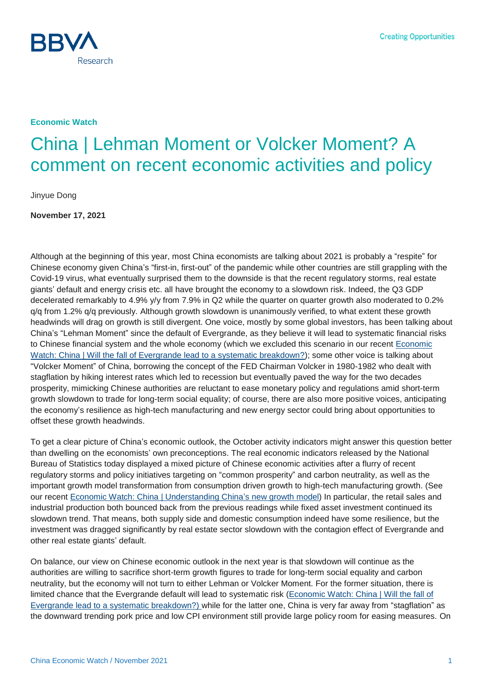

### **Economic Watch**

# China | Lehman Moment or Volcker Moment? A comment on recent economic activities and policy

Jinyue Dong

#### **November 17, 2021**

Although at the beginning of this year, most China economists are talking about 2021 is probably a "respite" for Chinese economy given China's "first-in, first-out" of the pandemic while other countries are still grappling with the Covid-19 virus, what eventually surprised them to the downside is that the recent regulatory storms, real estate giants' default and energy crisis etc. all have brought the economy to a slowdown risk. Indeed, the Q3 GDP decelerated remarkably to 4.9% y/y from 7.9% in Q2 while the quarter on quarter growth also moderated to 0.2% q/q from 1.2% q/q previously. Although growth slowdown is unanimously verified, to what extent these growth headwinds will drag on growth is still divergent. One voice, mostly by some global investors, has been talking about China's "Lehman Moment" since the default of Evergrande, as they believe it will lead to systematic financial risks to Chinese financial system and the whole economy (which we excluded this scenario in our recent [Economic](https://www.bbvaresearch.com/en/publicaciones/china-will-the-fall-of-evergrande-lead-to-a-systematic-breakdown/)  [Watch: China | Will the fall of Evergrande lead to a systematic breakdown?\)](https://www.bbvaresearch.com/en/publicaciones/china-will-the-fall-of-evergrande-lead-to-a-systematic-breakdown/); some other voice is talking about "Volcker Moment" of China, borrowing the concept of the FED Chairman Volcker in 1980-1982 who dealt with stagflation by hiking interest rates which led to recession but eventually paved the way for the two decades prosperity, mimicking Chinese authorities are reluctant to ease monetary policy and regulations amid short-term growth slowdown to trade for long-term social equality; of course, there are also more positive voices, anticipating the economy's resilience as high-tech manufacturing and new energy sector could bring about opportunities to offset these growth headwinds.

To get a clear picture of China's economic outlook, the October activity indicators might answer this question better than dwelling on the economists' own preconceptions. The real economic indicators released by the National Bureau of Statistics today displayed a mixed picture of Chinese economic activities after a flurry of recent regulatory storms and policy initiatives targeting on "common prosperity" and carbon neutrality, as well as the important growth model transformation from consumption driven growth to high-tech manufacturing growth. (See our recent [Economic Watch: China | Understanding China's new growth model\)](https://www.bbvaresearch.com/en/publicaciones/china-understanding-chinas-new-growth-model/) In particular, the retail sales and industrial production both bounced back from the previous readings while fixed asset investment continued its slowdown trend. That means, both supply side and domestic consumption indeed have some resilience, but the investment was dragged significantly by real estate sector slowdown with the contagion effect of Evergrande and other real estate giants' default.

On balance, our view on Chinese economic outlook in the next year is that slowdown will continue as the authorities are willing to sacrifice short-term growth figures to trade for long-term social equality and carbon neutrality, but the economy will not turn to either Lehman or Volcker Moment. For the former situation, there is limited chance that the Evergrande default will lead to systematic risk (Economic Watch: China | Will the fall of [Evergrande lead to a systematic breakdown?\)](https://www.bbvaresearch.com/en/publicaciones/china-will-the-fall-of-evergrande-lead-to-a-systematic-breakdown/) while for the latter one, China is very far away from "stagflation" as the downward trending pork price and low CPI environment still provide large policy room for easing measures. On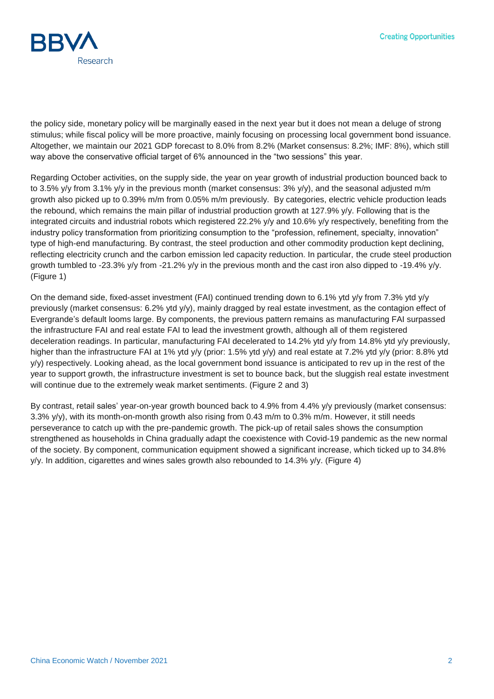

the policy side, monetary policy will be marginally eased in the next year but it does not mean a deluge of strong stimulus; while fiscal policy will be more proactive, mainly focusing on processing local government bond issuance. Altogether, we maintain our 2021 GDP forecast to 8.0% from 8.2% (Market consensus: 8.2%; IMF: 8%), which still way above the conservative official target of 6% announced in the "two sessions" this year.

Regarding October activities, on the supply side, the year on year growth of industrial production bounced back to to 3.5% y/y from 3.1% y/y in the previous month (market consensus: 3% y/y), and the seasonal adjusted m/m growth also picked up to 0.39% m/m from 0.05% m/m previously. By categories, electric vehicle production leads the rebound, which remains the main pillar of industrial production growth at 127.9% y/y. Following that is the integrated circuits and industrial robots which registered 22.2% y/y and 10.6% y/y respectively, benefiting from the industry policy transformation from prioritizing consumption to the "profession, refinement, specialty, innovation" type of high-end manufacturing. By contrast, the steel production and other commodity production kept declining, reflecting electricity crunch and the carbon emission led capacity reduction. In particular, the crude steel production growth tumbled to -23.3% y/y from -21.2% y/y in the previous month and the cast iron also dipped to -19.4% y/y. (Figure 1)

On the demand side, fixed-asset investment (FAI) continued trending down to 6.1% ytd y/y from 7.3% ytd y/y previously (market consensus: 6.2% ytd y/y), mainly dragged by real estate investment, as the contagion effect of Evergrande's default looms large. By components, the previous pattern remains as manufacturing FAI surpassed the infrastructure FAI and real estate FAI to lead the investment growth, although all of them registered deceleration readings. In particular, manufacturing FAI decelerated to 14.2% ytd y/y from 14.8% ytd y/y previously, higher than the infrastructure FAI at 1% ytd y/y (prior: 1.5% ytd y/y) and real estate at 7.2% ytd y/y (prior: 8.8% ytd y/y) respectively. Looking ahead, as the local government bond issuance is anticipated to rev up in the rest of the year to support growth, the infrastructure investment is set to bounce back, but the sluggish real estate investment will continue due to the extremely weak market sentiments. (Figure 2 and 3)

By contrast, retail sales' year-on-year growth bounced back to 4.9% from 4.4% y/y previously (market consensus: 3.3% y/y), with its month-on-month growth also rising from 0.43 m/m to 0.3% m/m. However, it still needs perseverance to catch up with the pre-pandemic growth. The pick-up of retail sales shows the consumption strengthened as households in China gradually adapt the coexistence with Covid-19 pandemic as the new normal of the society. By component, communication equipment showed a significant increase, which ticked up to 34.8% y/y. In addition, cigarettes and wines sales growth also rebounded to 14.3% y/y. (Figure 4)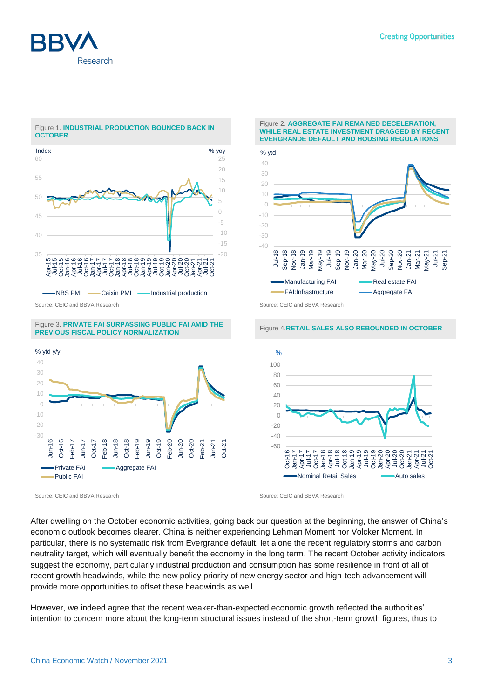



#### Figure 1. **INDUSTRIAL PRODUCTION BOUNCED BACK IN OCTOBER**

Source: CEIC and BBVA Research Source: CEIC and BBVA Research

Public FAI

Private FAI **Aggregate FAI** 

 $-60$ 

ti<br>0 j<br>Mi Apr-1 Jul-17 Oct-17<br>Jan-18 Jan-18<br>Apr-18 Apr-1

After dwelling on the October economic activities, going back our question at the beginning, the answer of China's economic outlook becomes clearer. China is neither experiencing Lehman Moment nor Volcker Moment. In particular, there is no systematic risk from Evergrande default, let alone the recent regulatory storms and carbon neutrality target, which will eventually benefit the economy in the long term. The recent October activity indicators suggest the economy, particularly industrial production and consumption has some resilience in front of all of recent growth headwinds, while the new policy priority of new energy sector and high-tech advancement will provide more opportunities to offset these headwinds as well.

Oct-21

However, we indeed agree that the recent weaker-than-expected economic growth reflected the authorities' intention to concern more about the long-term structural issues instead of the short-term growth figures, thus to

Jul-18 Oct-18 Jan-19 Apr-19 Jul-19 Oct-19 Jan-20

Nominal Retail Sales **Auto sales** 

Apr-20 Jul-20 Oct-20 Jan-21 Apr-21 Jul-21 Oct-21

Jan-20 Mar-20 May-20 Jul-20 Sep-20 Nov-20 Jan-21 Mar-21 May-21 Jul-21 Sep-21

Figure 2. **AGGREGATE FAI REMAINED DECELERATION, WHILE REAL ESTATE INVESTMENT DRAGGED BY RECENT EVERGRANDE DEFAULT AND HOUSING REGULATIONS**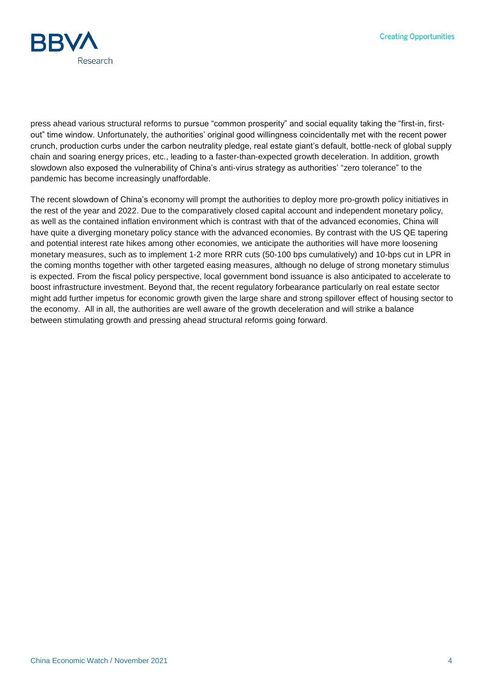

press ahead various structural reforms to pursue "common prosperity" and social equality taking the "first-in, firstout" time window. Unfortunately, the authorities' original good willingness coincidentally met with the recent power crunch, production curbs under the carbon neutrality pledge, real estate giant's default, bottle-neck of global supply chain and soaring energy prices, etc., leading to a faster-than-expected growth deceleration. In addition, growth slowdown also exposed the vulnerability of China's anti-virus strategy as authorities' "zero tolerance" to the pandemic has become increasingly unaffordable.

The recent slowdown of China's economy will prompt the authorities to deploy more pro-growth policy initiatives in the rest of the year and 2022. Due to the comparatively closed capital account and independent monetary policy, as well as the contained inflation environment which is contrast with that of the advanced economies, China will have quite a diverging monetary policy stance with the advanced economies. By contrast with the US QE tapering and potential interest rate hikes among other economies, we anticipate the authorities will have more loosening monetary measures, such as to implement 1-2 more RRR cuts (50-100 bps cumulatively) and 10-bps cut in LPR in the coming months together with other targeted easing measures, although no deluge of strong monetary stimulus is expected. From the fiscal policy perspective, local government bond issuance is also anticipated to accelerate to boost infrastructure investment. Beyond that, the recent regulatory forbearance particularly on real estate sector might add further impetus for economic growth given the large share and strong spillover effect of housing sector to the economy. All in all, the authorities are well aware of the growth deceleration and will strike a balance between stimulating growth and pressing ahead structural reforms going forward.